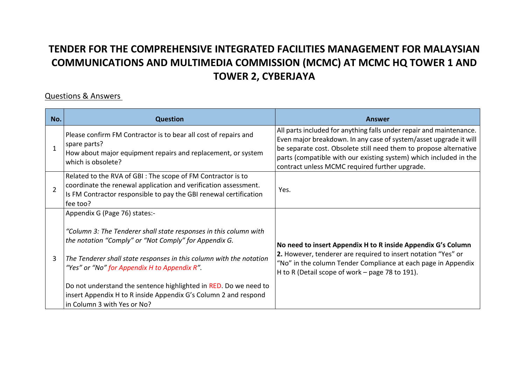## **TENDER FOR THE COMPREHENSIVE INTEGRATED FACILITIES MANAGEMENT FOR MALAYSIAN COMMUNICATIONS AND MULTIMEDIA COMMISSION (MCMC) AT MCMC HQ TOWER 1 AND TOWER 2, CYBERJAYA**

## Questions & Answers

| No. | <b>Question</b>                                                                                                                                                                                                                                                                                                                                                                                                                                          | Answer                                                                                                                                                                                                                                                                                                                               |
|-----|----------------------------------------------------------------------------------------------------------------------------------------------------------------------------------------------------------------------------------------------------------------------------------------------------------------------------------------------------------------------------------------------------------------------------------------------------------|--------------------------------------------------------------------------------------------------------------------------------------------------------------------------------------------------------------------------------------------------------------------------------------------------------------------------------------|
|     | Please confirm FM Contractor is to bear all cost of repairs and<br>spare parts?<br>How about major equipment repairs and replacement, or system<br>which is obsolete?                                                                                                                                                                                                                                                                                    | All parts included for anything falls under repair and maintenance.<br>Even major breakdown. In any case of system/asset upgrade it will<br>be separate cost. Obsolete still need them to propose alternative<br>parts (compatible with our existing system) which included in the<br>contract unless MCMC required further upgrade. |
|     | Related to the RVA of GBI: The scope of FM Contractor is to<br>coordinate the renewal application and verification assessment.<br>Is FM Contractor responsible to pay the GBI renewal certification<br>fee too?                                                                                                                                                                                                                                          | Yes.                                                                                                                                                                                                                                                                                                                                 |
| 3   | Appendix G (Page 76) states:-<br>"Column 3: The Tenderer shall state responses in this column with<br>the notation "Comply" or "Not Comply" for Appendix G.<br>The Tenderer shall state responses in this column with the notation<br>"Yes" or "No" for Appendix H to Appendix R".<br>Do not understand the sentence highlighted in RED. Do we need to<br>insert Appendix H to R inside Appendix G's Column 2 and respond<br>in Column 3 with Yes or No? | No need to insert Appendix H to R inside Appendix G's Column<br>2. However, tenderer are required to insert notation "Yes" or<br>"No" in the column Tender Compliance at each page in Appendix<br>H to R (Detail scope of work – page 78 to 191).                                                                                    |